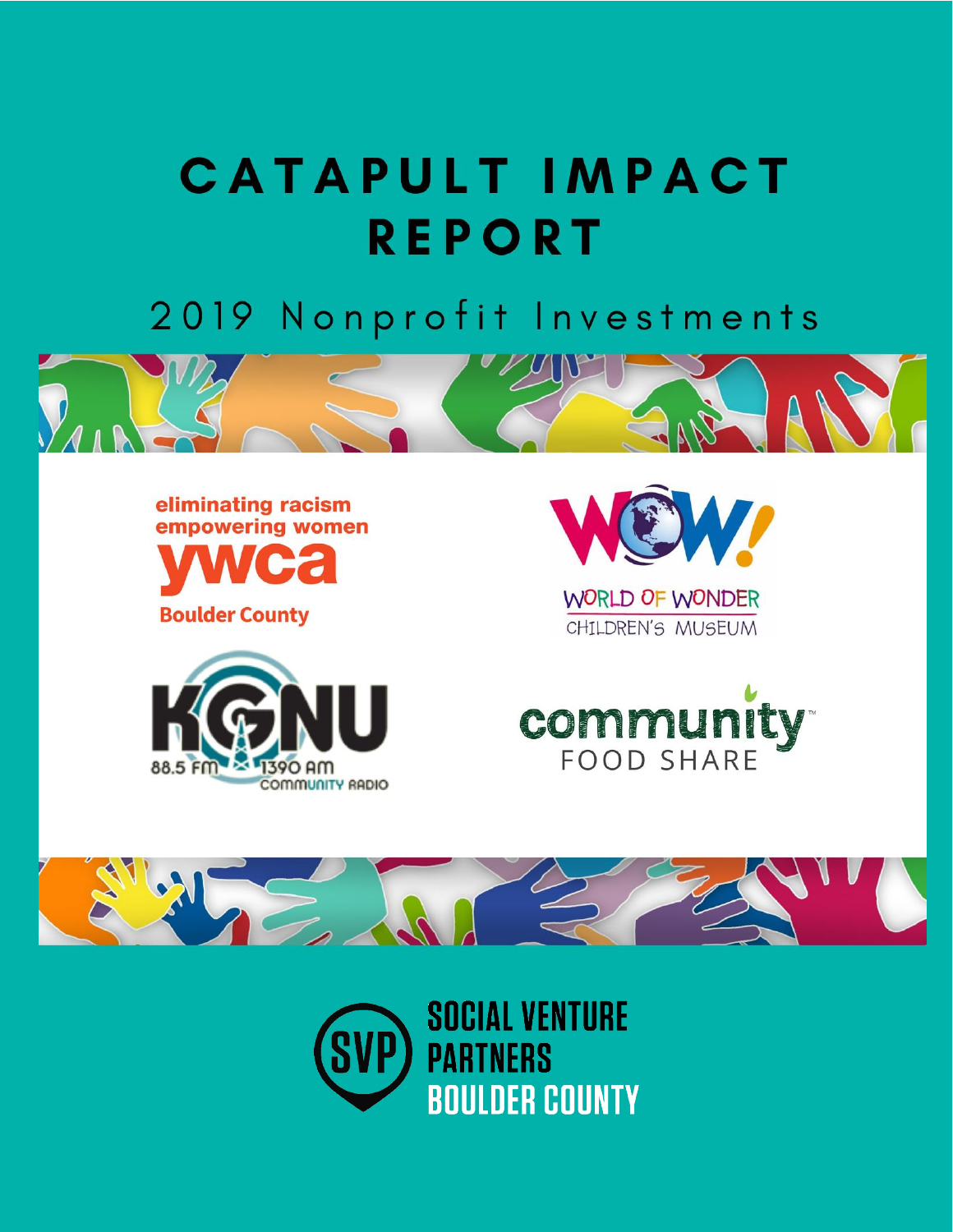# **CATAPULT IMPACT REPORT**

2019 Nonprofit Investments



eliminating racism empowering women

**Boulder County** 





WORLD OF WONDER CHILDREN'S MUSEUM





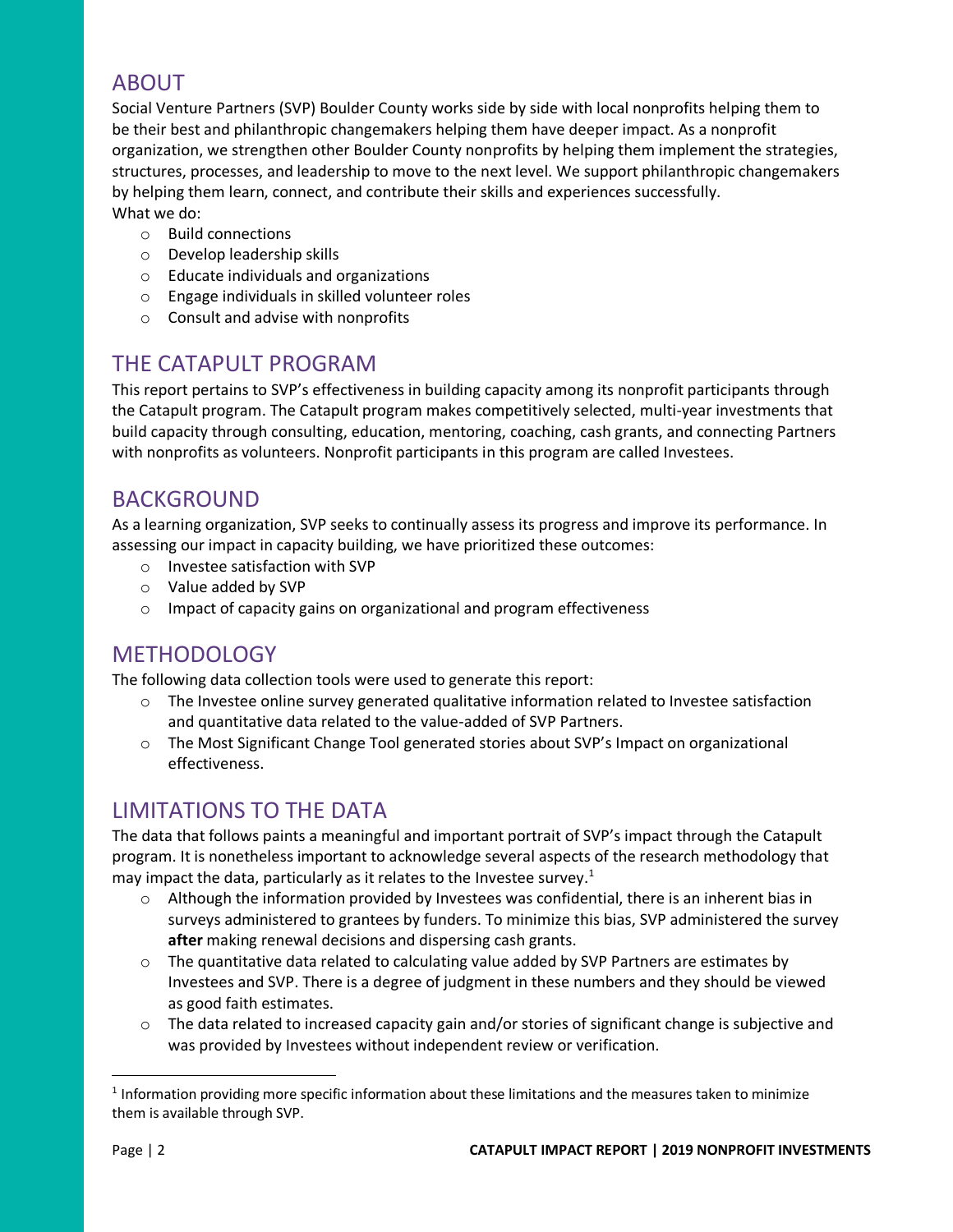## ABOUT

Social Venture Partners (SVP) Boulder County works side by side with local nonprofits helping them to be their best and philanthropic changemakers helping them have deeper impact. As a nonprofit organization, we strengthen other Boulder County nonprofits by helping them implement the strategies, structures, processes, and leadership to move to the next level. We support philanthropic changemakers by helping them learn, connect, and contribute their skills and experiences successfully. What we do:

- o Build connections
- o Develop leadership skills
- o Educate individuals and organizations
- o Engage individuals in skilled volunteer roles
- o Consult and advise with nonprofits

### THE CATAPULT PROGRAM

This report pertains to SVP's effectiveness in building capacity among its nonprofit participants through the Catapult program. The Catapult program makes competitively selected, multi-year investments that build capacity through consulting, education, mentoring, coaching, cash grants, and connecting Partners with nonprofits as volunteers. Nonprofit participants in this program are called Investees.

### BACKGROUND

As a learning organization, SVP seeks to continually assess its progress and improve its performance. In assessing our impact in capacity building, we have prioritized these outcomes:

- o Investee satisfaction with SVP
- o Value added by SVP
- o Impact of capacity gains on organizational and program effectiveness

### **METHODOLOGY**

The following data collection tools were used to generate this report:

- $\circ$  The Investee online survey generated qualitative information related to Investee satisfaction and quantitative data related to the value-added of SVP Partners.
- o The Most Significant Change Tool generated stories about SVP's Impact on organizational effectiveness.

### LIMITATIONS TO THE DATA

The data that follows paints a meaningful and important portrait of SVP's impact through the Catapult program. It is nonetheless important to acknowledge several aspects of the research methodology that may impact the data, particularly as it relates to the Investee survey.<sup>1</sup>

- $\circ$  Although the information provided by Investees was confidential, there is an inherent bias in surveys administered to grantees by funders. To minimize this bias, SVP administered the survey **after** making renewal decisions and dispersing cash grants.
- o The quantitative data related to calculating value added by SVP Partners are estimates by Investees and SVP. There is a degree of judgment in these numbers and they should be viewed as good faith estimates.
- $\circ$  The data related to increased capacity gain and/or stories of significant change is subjective and was provided by Investees without independent review or verification.

 $<sup>1</sup>$  Information providing more specific information about these limitations and the measures taken to minimize</sup> them is available through SVP.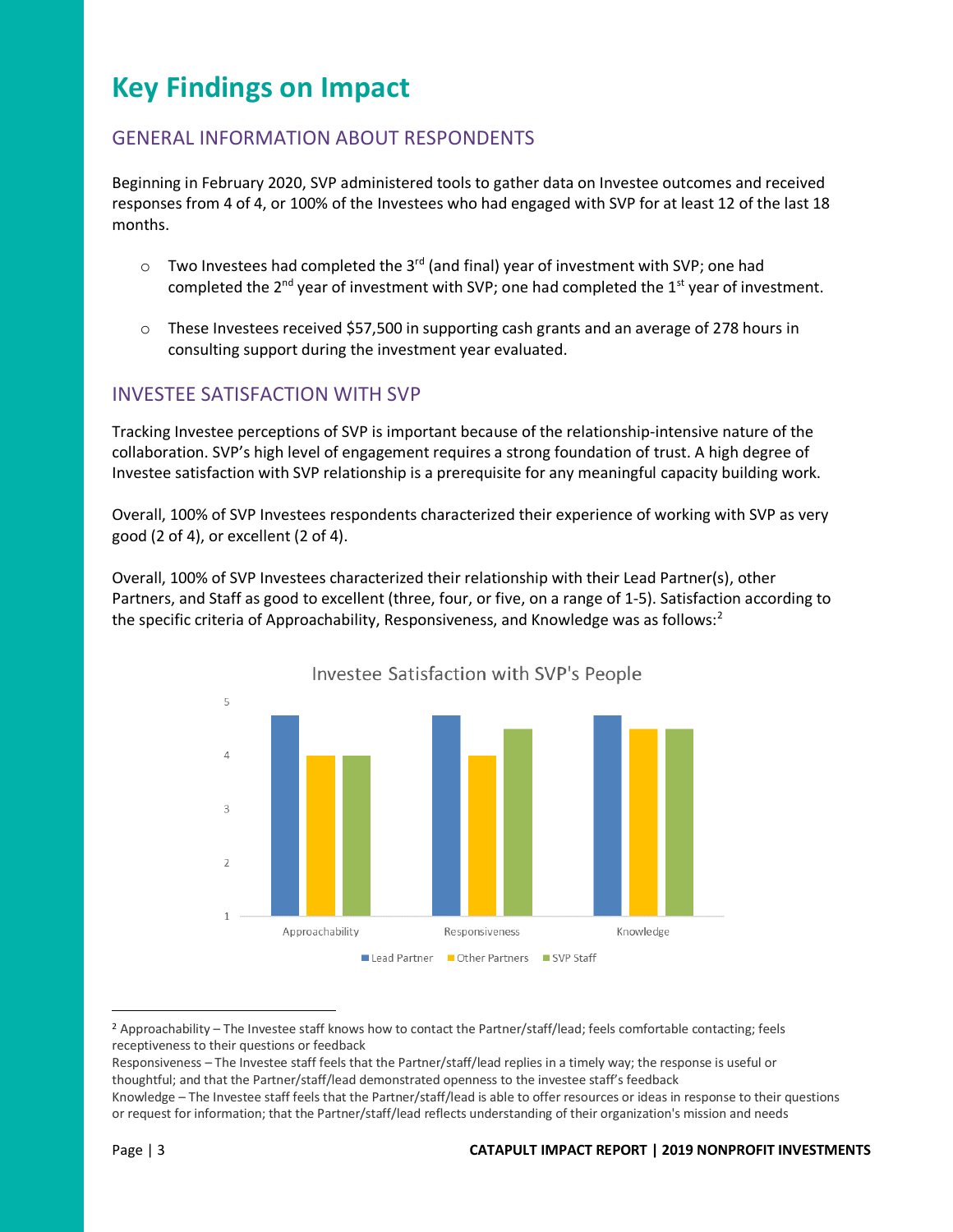# **Key Findings on Impact**

#### GENERAL INFORMATION ABOUT RESPONDENTS

Beginning in February 2020, SVP administered tools to gather data on Investee outcomes and received responses from 4 of 4, or 100% of the Investees who had engaged with SVP for at least 12 of the last 18 months.

- $\circ$  Two Investees had completed the 3<sup>rd</sup> (and final) year of investment with SVP; one had completed the  $2^{nd}$  year of investment with SVP; one had completed the  $1^{st}$  year of investment.
- $\circ$  These Investees received \$57,500 in supporting cash grants and an average of 278 hours in consulting support during the investment year evaluated.

#### INVESTEE SATISFACTION WITH SVP

Tracking Investee perceptions of SVP is important because of the relationship-intensive nature of the collaboration. SVP's high level of engagement requires a strong foundation of trust. A high degree of Investee satisfaction with SVP relationship is a prerequisite for any meaningful capacity building work.

Overall, 100% of SVP Investees respondents characterized their experience of working with SVP as very good (2 of 4), or excellent (2 of 4).

Overall, 100% of SVP Investees characterized their relationship with their Lead Partner(s), other Partners, and Staff as good to excellent (three, four, or five, on a range of 1-5). Satisfaction according to the specific criteria of Approachability, Responsiveness, and Knowledge was as follows: $2$ 



Investee Satisfaction with SVP's People

<sup>2</sup> Approachability – The Investee staff knows how to contact the Partner/staff/lead; feels comfortable contacting; feels receptiveness to their questions or feedback

Responsiveness – The Investee staff feels that the Partner/staff/lead replies in a timely way; the response is useful or thoughtful; and that the Partner/staff/lead demonstrated openness to the investee staff's feedback Knowledge – The Investee staff feels that the Partner/staff/lead is able to offer resources or ideas in response to their questions

or request for information; that the Partner/staff/lead reflects understanding of their organization's mission and needs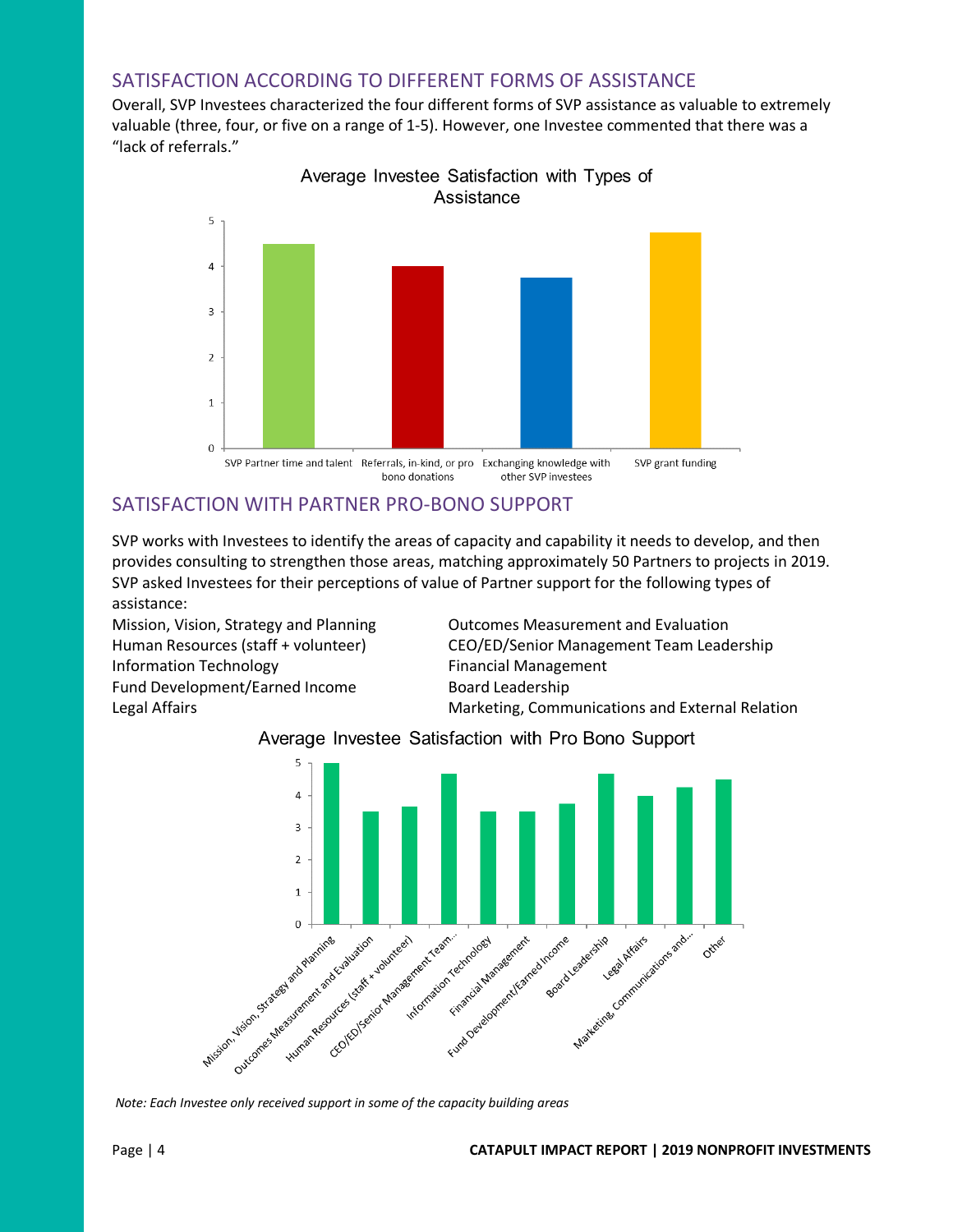#### SATISFACTION ACCORDING TO DIFFERENT FORMS OF ASSISTANCE

Overall, SVP Investees characterized the four different forms of SVP assistance as valuable to extremely valuable (three, four, or five on a range of 1-5). However, one Investee commented that there was a "lack of referrals."



# Average Investee Satisfaction with Types of

#### SATISFACTION WITH PARTNER PRO-BONO SUPPORT

SVP works with Investees to identify the areas of capacity and capability it needs to develop, and then provides consulting to strengthen those areas, matching approximately 50 Partners to projects in 2019. SVP asked Investees for their perceptions of value of Partner support for the following types of assistance:

Information Technology **Financial Management** Fund Development/Earned Income Board Leadership

Mission, Vision, Strategy and Planning Outcomes Measurement and Evaluation Human Resources (staff + volunteer) CEO/ED/Senior Management Team Leadership Legal Affairs **Marketing, Communications and External Relation** Marketing, Communications and External Relation

#### Average Investee Satisfaction with Pro Bono Support



*Note: Each Investee only received support in some of the capacity building areas*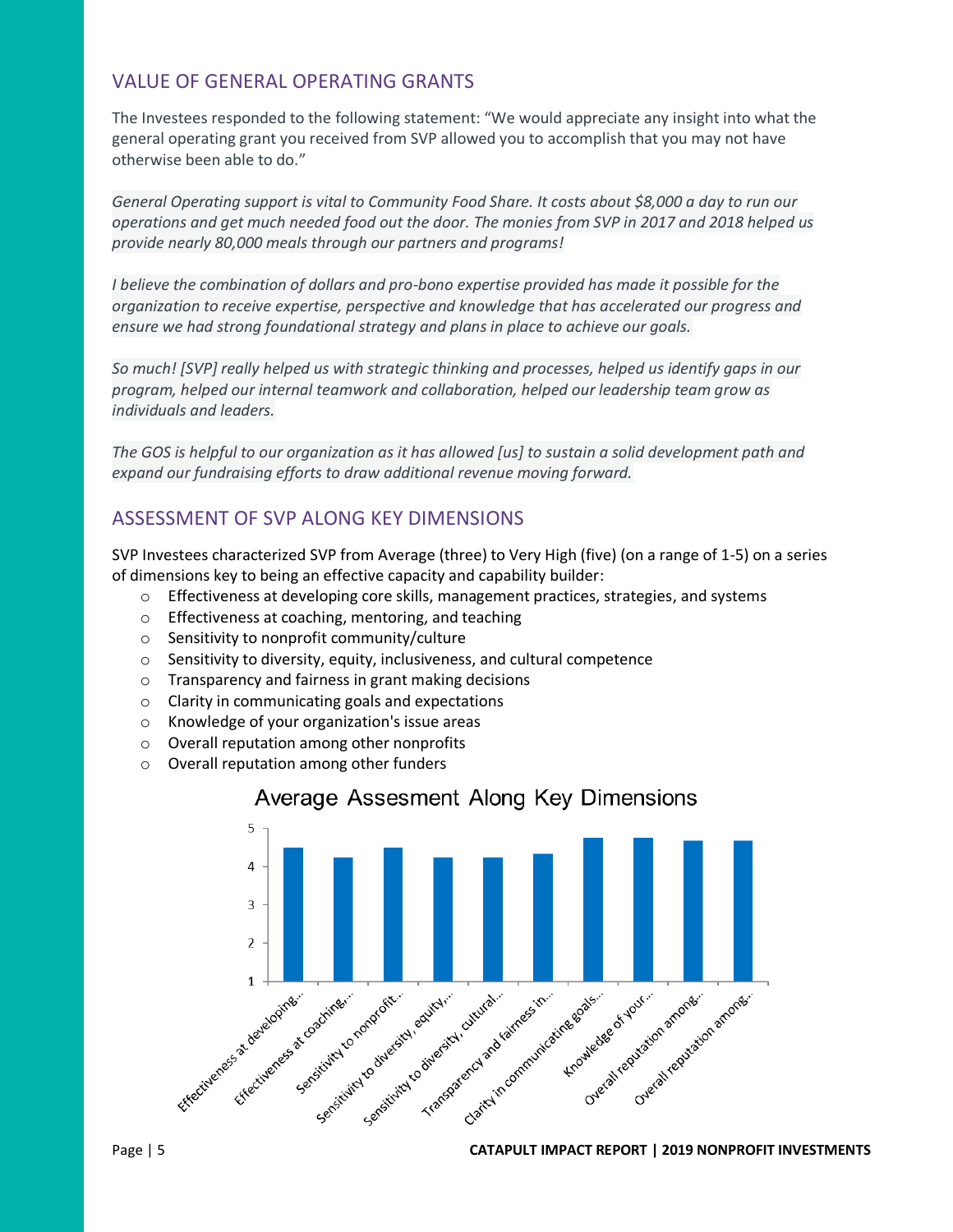#### VALUE OF GENERAL OPERATING GRANTS

The Investees responded to the following statement: "We would appreciate any insight into what the general operating grant you received from SVP allowed you to accomplish that you may not have otherwise been able to do."

*General Operating support is vital to Community Food Share. It costs about \$8,000 a day to run our operations and get much needed food out the door. The monies from SVP in 2017 and 2018 helped us provide nearly 80,000 meals through our partners and programs!* 

*I believe the combination of dollars and pro-bono expertise provided has made it possible for the organization to receive expertise, perspective and knowledge that has accelerated our progress and ensure we had strong foundational strategy and plans in place to achieve our goals.* 

*So much! [SVP] really helped us with strategic thinking and processes, helped us identify gaps in our program, helped our internal teamwork and collaboration, helped our leadership team grow as individuals and leaders.* 

*The GOS is helpful to our organization as it has allowed [us] to sustain a solid development path and expand our fundraising efforts to draw additional revenue moving forward.* 

#### ASSESSMENT OF SVP ALONG KEY DIMENSIONS

SVP Investees characterized SVP from Average (three) to Very High (five) (on a range of 1-5) on a series of dimensions key to being an effective capacity and capability builder:

- $\circ$  Effectiveness at developing core skills, management practices, strategies, and systems
- o Effectiveness at coaching, mentoring, and teaching
- o Sensitivity to nonprofit community/culture
- o Sensitivity to diversity, equity, inclusiveness, and cultural competence
- o Transparency and fairness in grant making decisions
- o Clarity in communicating goals and expectations
- o Knowledge of your organization's issue areas
- o Overall reputation among other nonprofits
- o Overall reputation among other funders



#### Average Assesment Along Key Dimensions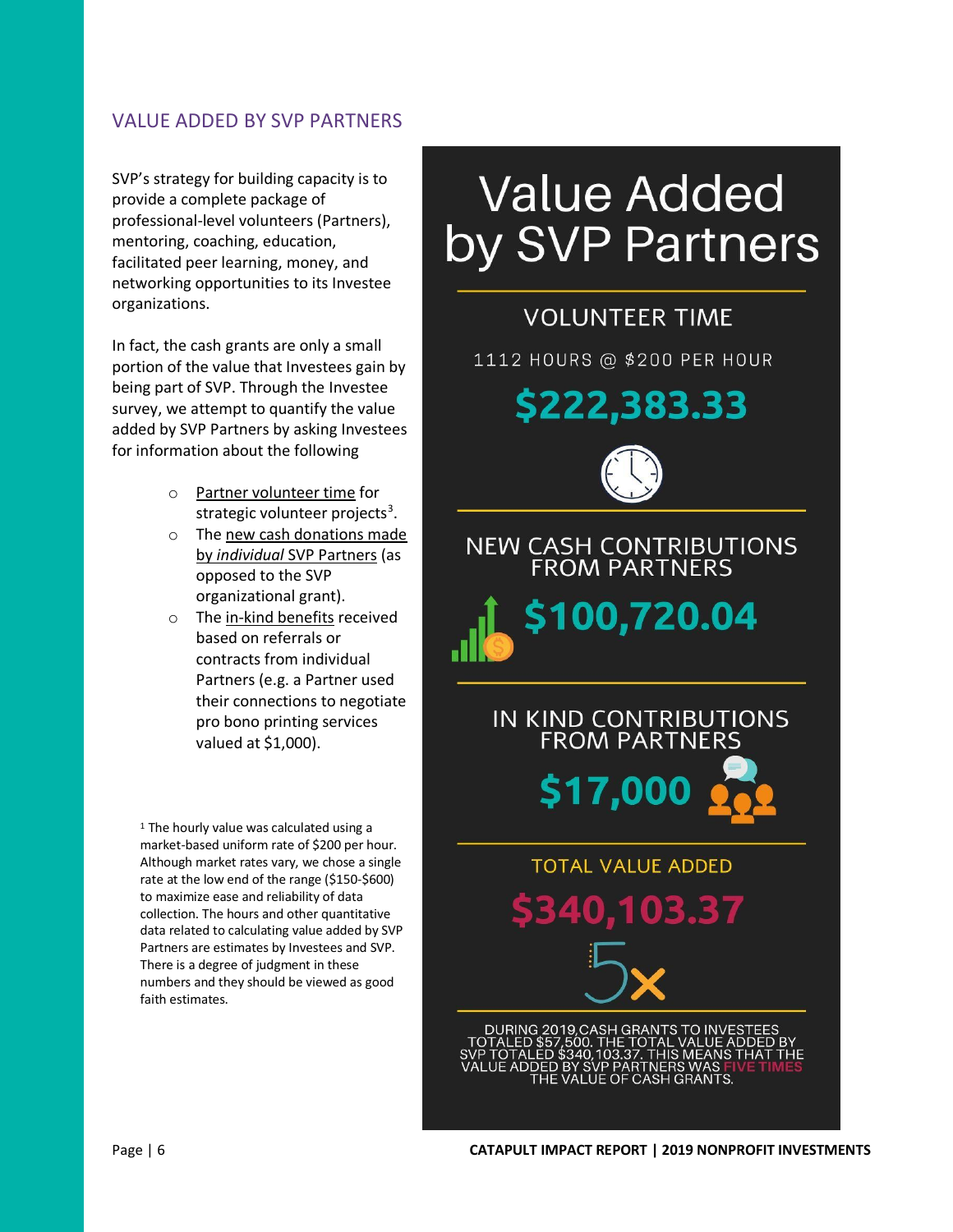#### VALUE ADDED BY SVP PARTNERS

SVP's strategy for building capacity is to provide a complete package of professional-level volunteers (Partners), mentoring, coaching, education, facilitated peer learning, money, and networking opportunities to its Investee organizations.

In fact, the cash grants are only a small portion of the value that Investees gain by being part of SVP. Through the Investee survey, we attempt to quantify the value added by SVP Partners by asking Investees for information about the following

- o Partner volunteer time for strategic volunteer projects<sup>3</sup>.
- o The new cash donations made by *individual* SVP Partners (as opposed to the SVP organizational grant).
- o The in-kind benefits received based on referrals or contracts from individual Partners (e.g. a Partner used their connections to negotiate pro bono printing services valued at \$1,000).

<sup>1</sup> The hourly value was calculated using a market-based uniform rate of \$200 per hour. Although market rates vary, we chose a single rate at the low end of the range (\$150-\$600) to maximize ease and reliability of data collection. The hours and other quantitative data related to calculating value added by SVP Partners are estimates by Investees and SVP. There is a degree of judgment in these numbers and they should be viewed as good faith estimates.

# **Value Added** by SVP Partners

# **VOLUNTEER TIME**

1112 HOURS @ \$200 PER HOUR

\$222,383.33



NEW CASH CONTRIBUTIONS<br>FROM PARTNERS





## **TOTAL VALUE ADDED**

03.37  $\bullet$ 

DURING 2019,CASH GRANTS TO INVES **HIS MEANS THAT**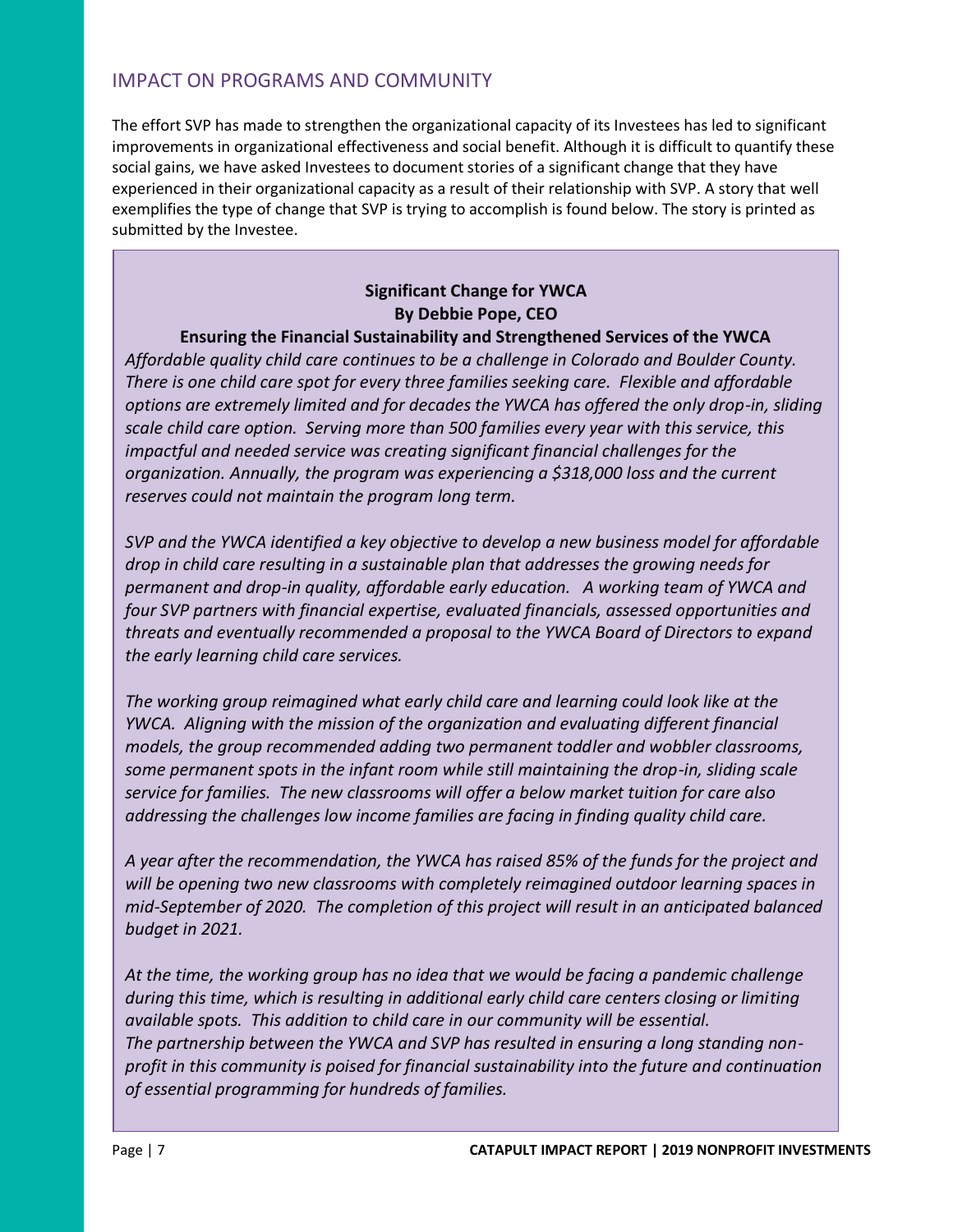#### IMPACT ON PROGRAMS AND COMMUNITY

The effort SVP has made to strengthen the organizational capacity of its Investees has led to significant improvements in organizational effectiveness and social benefit. Although it is difficult to quantify these social gains, we have asked Investees to document stories of a significant change that they have experienced in their organizational capacity as a result of their relationship with SVP. A story that well exemplifies the type of change that SVP is trying to accomplish is found below. The story is printed as submitted by the Investee.

#### **Significant Change for YWCA By Debbie Pope, CEO**

#### **Ensuring the Financial Sustainability and Strengthened Services of the YWCA**

*Affordable quality child care continues to be a challenge in Colorado and Boulder County. There is one child care spot for every three families seeking care. Flexible and affordable options are extremely limited and for decades the YWCA has offered the only drop-in, sliding scale child care option. Serving more than 500 families every year with this service, this impactful and needed service was creating significant financial challenges for the organization. Annually, the program was experiencing a \$318,000 loss and the current reserves could not maintain the program long term.* 

*SVP and the YWCA identified a key objective to develop a new business model for affordable drop in child care resulting in a sustainable plan that addresses the growing needs for permanent and drop-in quality, affordable early education. A working team of YWCA and four SVP partners with financial expertise, evaluated financials, assessed opportunities and threats and eventually recommended a proposal to the YWCA Board of Directors to expand the early learning child care services.* 

*The working group reimagined what early child care and learning could look like at the YWCA. Aligning with the mission of the organization and evaluating different financial models, the group recommended adding two permanent toddler and wobbler classrooms, some permanent spots in the infant room while still maintaining the drop-in, sliding scale service for families. The new classrooms will offer a below market tuition for care also addressing the challenges low income families are facing in finding quality child care.* 

*A year after the recommendation, the YWCA has raised 85% of the funds for the project and will be opening two new classrooms with completely reimagined outdoor learning spaces in mid-September of 2020. The completion of this project will result in an anticipated balanced budget in 2021.*

*At the time, the working group has no idea that we would be facing a pandemic challenge during this time, which is resulting in additional early child care centers closing or limiting available spots. This addition to child care in our community will be essential. The partnership between the YWCA and SVP has resulted in ensuring a long standing nonprofit in this community is poised for financial sustainability into the future and continuation of essential programming for hundreds of families.*